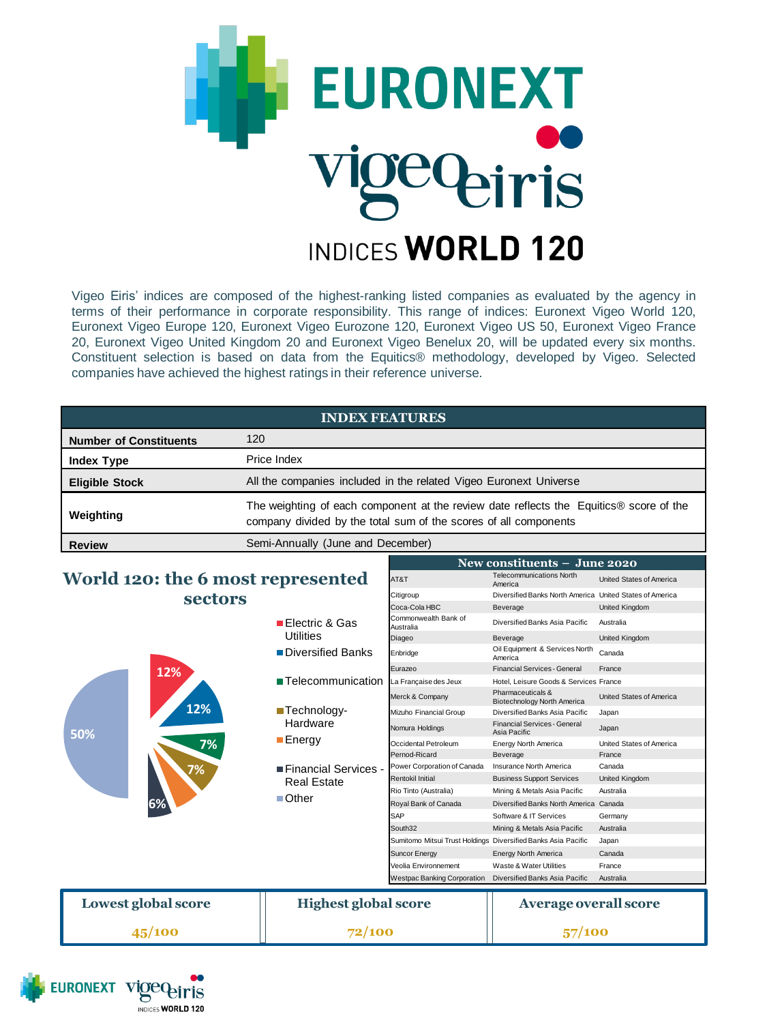

Vigeo Eiris' indices are composed of the highest-ranking listed companies as evaluated by the agency in terms of their performance in corporate responsibility. This range of indices: Euronext Vigeo World 120, Euronext Vigeo Europe 120, Euronext Vigeo Eurozone 120, Euronext Vigeo US 50, Euronext Vigeo France 20, Euronext Vigeo United Kingdom 20 and Euronext Vigeo Benelux 20, will be updated every six months. Constituent selection is based on data from the Equitics® methodology, developed by Vigeo. Selected companies have achieved the highest ratings in their reference universe.

| <b>INDEX FEATURES</b>             |                                                                                                                                                            |      |                                            |                          |
|-----------------------------------|------------------------------------------------------------------------------------------------------------------------------------------------------------|------|--------------------------------------------|--------------------------|
| <b>Number of Constituents</b>     | 120                                                                                                                                                        |      |                                            |                          |
| <b>Index Type</b>                 | Price Index                                                                                                                                                |      |                                            |                          |
| <b>Eligible Stock</b>             | All the companies included in the related Vigeo Euronext Universe                                                                                          |      |                                            |                          |
| Weighting                         | The weighting of each component at the review date reflects the Equitics® score of the<br>company divided by the total sum of the scores of all components |      |                                            |                          |
| <b>Review</b>                     | Semi-Annually (June and December)                                                                                                                          |      |                                            |                          |
|                                   |                                                                                                                                                            |      | New constituents $-$ June 2020             |                          |
| World 120: the 6 most represented |                                                                                                                                                            | AT&T | <b>Telecommunications North</b><br>America | United States of America |

Citigroup Diversified Banks North America United States of America

## **World 120: the 6 most represented sectors**

**EURONEXT** 

eiris INDICES WORLD 120

| sectors             |                                              |                                                               |                                                     |                          |
|---------------------|----------------------------------------------|---------------------------------------------------------------|-----------------------------------------------------|--------------------------|
|                     |                                              | Coca-Cola HBC                                                 | Beverage                                            | United Kingdom           |
|                     | ■ Electric & Gas<br>Utilities                | Commonwealth Bank of<br>Australia                             | Diversified Banks Asia Pacific                      | Australia                |
|                     |                                              | Diageo                                                        | Beverage                                            | United Kingdom           |
|                     | ■Diversified Banks                           | Enbridge                                                      | Oil Equipment & Services North<br>America           | Canada                   |
| 12%                 |                                              | Eurazeo                                                       | Financial Services - General                        | France                   |
|                     | ■ Telecommunication                          | La Française des Jeux                                         | Hotel, Leisure Goods & Services France              |                          |
|                     |                                              | Merck & Company                                               | Pharmaceuticals &<br>Biotechnology North America    | United States of America |
| 12%                 | ■Technology-                                 | Mizuho Financial Group                                        | Diversified Banks Asia Pacific                      | Japan                    |
| 50%                 | Hardware                                     | Nomura Holdings                                               | <b>Financial Services - General</b><br>Asia Pacific | Japan                    |
| 7%                  | ■ Energy                                     | Occidental Petroleum                                          | Energy North America                                | United States of America |
|                     |                                              | Pernod-Ricard                                                 | Beverage                                            | France                   |
| 7%                  | ■ Financial Services -<br><b>Real Estate</b> | Power Corporation of Canada                                   | Insurance North America                             | Canada                   |
|                     |                                              | <b>Rentokil Initial</b>                                       | <b>Business Support Services</b>                    | United Kingdom           |
|                     | $\blacksquare$ Other                         | Rio Tinto (Australia)                                         | Mining & Metals Asia Pacific                        | Australia                |
| 6%                  |                                              | Royal Bank of Canada                                          | Diversified Banks North America Canada              |                          |
|                     |                                              | SAP                                                           | Software & IT Services                              | Germany                  |
|                     |                                              | South32                                                       | Mining & Metals Asia Pacific                        | Australia                |
|                     |                                              | Sumitomo Mitsui Trust Holdings Diversified Banks Asia Pacific |                                                     | Japan                    |
|                     |                                              | <b>Suncor Energy</b>                                          | Energy North America                                | Canada                   |
|                     |                                              | Veolia Environnement                                          | Waste & Water Utilities                             | France                   |
|                     |                                              | <b>Westpac Banking Corporation</b>                            | Diversified Banks Asia Pacific                      | Australia                |
| Lowest global score | <b>Highest global score</b>                  |                                                               | <b>Average overall score</b>                        |                          |
| 45/100              | 72/100                                       |                                                               | 57/100                                              |                          |
|                     |                                              |                                                               |                                                     |                          |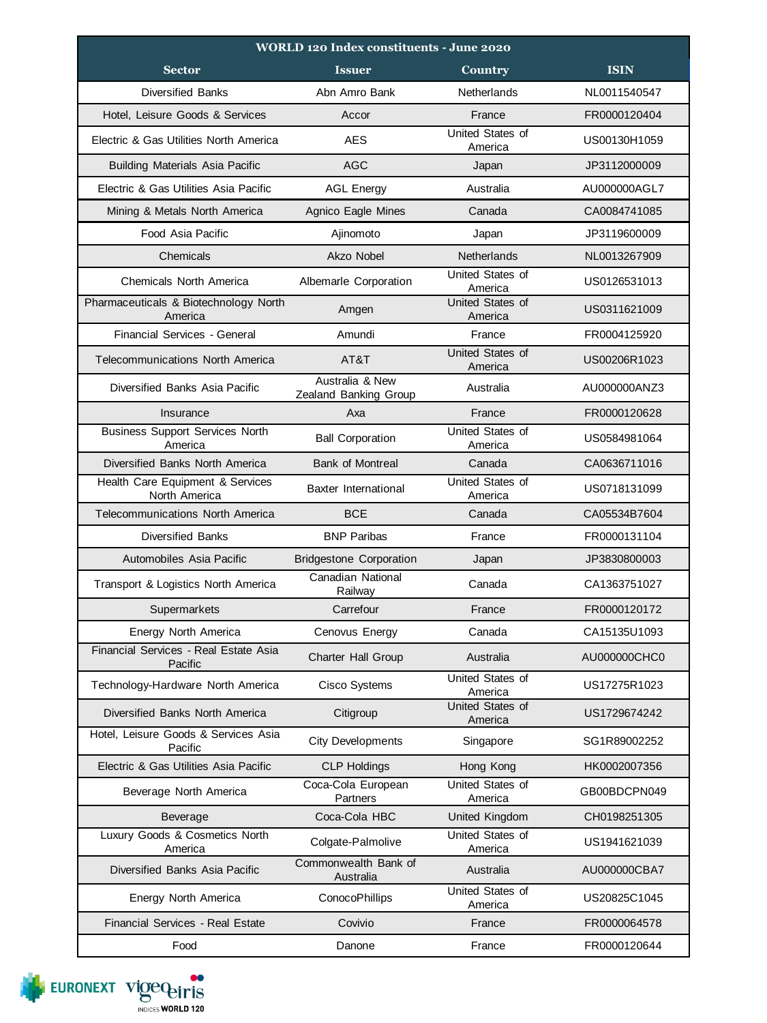| <b>WORLD 120 Index constituents - June 2020</b>   |                                          |                             |              |  |
|---------------------------------------------------|------------------------------------------|-----------------------------|--------------|--|
| <b>Sector</b>                                     | <b>Issuer</b>                            | Country                     | <b>ISIN</b>  |  |
| <b>Diversified Banks</b>                          | Abn Amro Bank                            | Netherlands                 | NL0011540547 |  |
| Hotel, Leisure Goods & Services                   | Accor                                    | France                      | FR0000120404 |  |
| Electric & Gas Utilities North America            | <b>AES</b>                               | United States of<br>America | US00130H1059 |  |
| <b>Building Materials Asia Pacific</b>            | <b>AGC</b>                               | Japan                       | JP3112000009 |  |
| Flectric & Gas Utilities Asia Pacific             | <b>AGL Energy</b>                        | Australia                   | AU000000AGL7 |  |
| Mining & Metals North America                     | Agnico Eagle Mines                       | Canada                      | CA0084741085 |  |
| Food Asia Pacific                                 | Ajinomoto                                | Japan                       | JP3119600009 |  |
| Chemicals                                         | Akzo Nobel                               | Netherlands                 | NL0013267909 |  |
| <b>Chemicals North America</b>                    | Albemarle Corporation                    | United States of<br>America | US0126531013 |  |
| Pharmaceuticals & Biotechnology North<br>America  | Amgen                                    | United States of<br>America | US0311621009 |  |
| Financial Services - General                      | Amundi                                   | France                      | FR0004125920 |  |
| Telecommunications North America                  | AT&T                                     | United States of<br>America | US00206R1023 |  |
| Diversified Banks Asia Pacific                    | Australia & New<br>Zealand Banking Group | Australia                   | AU000000ANZ3 |  |
| Insurance                                         | Axa                                      | France                      | FR0000120628 |  |
| <b>Business Support Services North</b><br>America | <b>Ball Corporation</b>                  | United States of<br>America | US0584981064 |  |
| Diversified Banks North America                   | <b>Bank of Montreal</b>                  | Canada                      | CA0636711016 |  |
| Health Care Equipment & Services<br>North America | Baxter International                     | United States of<br>America | US0718131099 |  |
| <b>Telecommunications North America</b>           | <b>BCE</b>                               | Canada                      | CA05534B7604 |  |
| <b>Diversified Banks</b>                          | <b>BNP Paribas</b>                       | France                      | FR0000131104 |  |
| Automobiles Asia Pacific                          | <b>Bridgestone Corporation</b>           | Japan                       | JP3830800003 |  |
| Transport & Logistics North America               | Canadian National<br>Railway             | Canada                      | CA1363751027 |  |
| Supermarkets                                      | Carrefour                                | France                      | FR0000120172 |  |
| Energy North America                              | Cenovus Energy                           | Canada                      | CA15135U1093 |  |
| Financial Services - Real Estate Asia<br>Pacific  | <b>Charter Hall Group</b>                | Australia                   | AU000000CHC0 |  |
| Technology-Hardware North America                 | Cisco Systems                            | United States of<br>America | US17275R1023 |  |
| Diversified Banks North America                   | Citigroup                                | United States of<br>America | US1729674242 |  |
| Hotel, Leisure Goods & Services Asia<br>Pacific   | <b>City Developments</b>                 | Singapore                   | SG1R89002252 |  |
| Electric & Gas Utilities Asia Pacific             | <b>CLP Holdings</b>                      | Hong Kong                   | HK0002007356 |  |
| Beverage North America                            | Coca-Cola European<br>Partners           | United States of<br>America | GB00BDCPN049 |  |
| Beverage                                          | Coca-Cola HBC                            | United Kingdom              | CH0198251305 |  |
| Luxury Goods & Cosmetics North<br>America         | Colgate-Palmolive                        | United States of<br>America | US1941621039 |  |
| Diversified Banks Asia Pacific                    | Commonwealth Bank of<br>Australia        | Australia                   | AU000000CBA7 |  |
| Energy North America                              | ConocoPhillips                           | United States of<br>America | US20825C1045 |  |
| <b>Financial Services - Real Estate</b>           | Covivio                                  | France                      | FR0000064578 |  |
| Food                                              | Danone                                   | France                      | FR0000120644 |  |

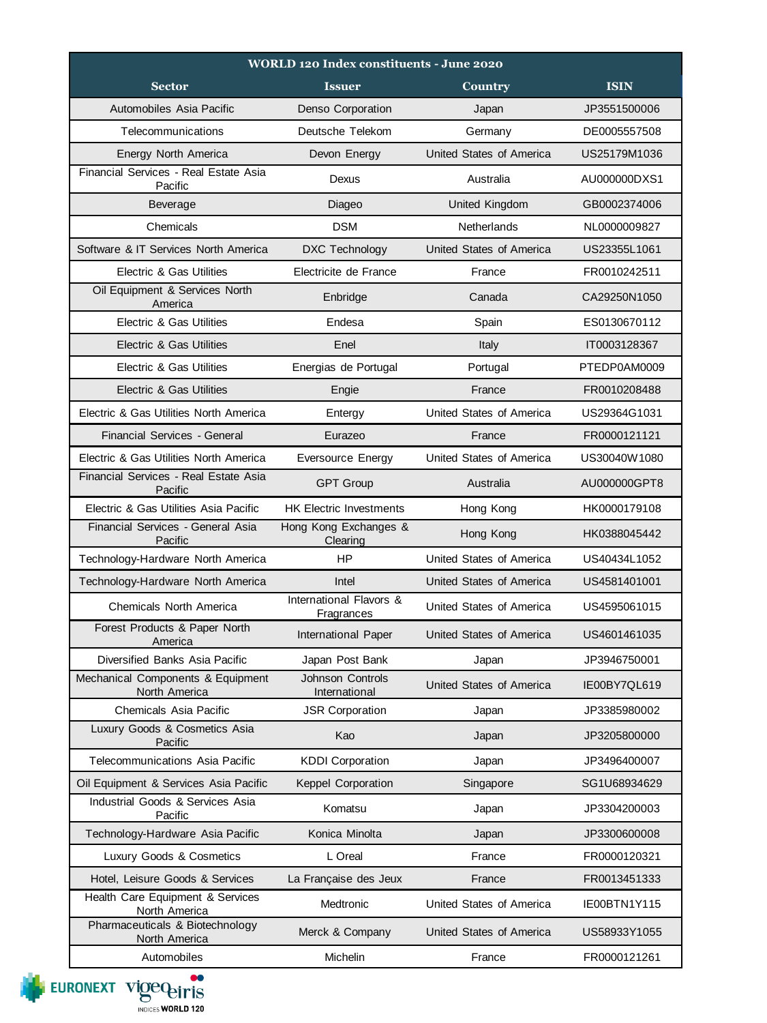| <b>WORLD 120 Index constituents - June 2020</b>    |                                          |                          |              |  |  |
|----------------------------------------------------|------------------------------------------|--------------------------|--------------|--|--|
| <b>Sector</b>                                      | <b>Issuer</b>                            | Country                  | <b>ISIN</b>  |  |  |
| Automobiles Asia Pacific                           | Denso Corporation                        | Japan                    | JP3551500006 |  |  |
| Telecommunications                                 | Deutsche Telekom                         | Germany                  | DE0005557508 |  |  |
| Energy North America                               | Devon Energy                             | United States of America | US25179M1036 |  |  |
| Financial Services - Real Estate Asia<br>Pacific   | Dexus                                    | Australia                | AU000000DXS1 |  |  |
| Beverage                                           | Diageo                                   | United Kingdom           | GB0002374006 |  |  |
| Chemicals                                          | <b>DSM</b>                               | Netherlands              | NL0000009827 |  |  |
| Software & IT Services North America               | <b>DXC Technology</b>                    | United States of America | US23355L1061 |  |  |
| Electric & Gas Utilities                           | Electricite de France                    | France                   | FR0010242511 |  |  |
| Oil Equipment & Services North<br>America          | Enbridge                                 | Canada                   | CA29250N1050 |  |  |
| Electric & Gas Utilities                           | Endesa                                   | Spain                    | ES0130670112 |  |  |
| Electric & Gas Utilities                           | Enel                                     | Italy                    | IT0003128367 |  |  |
| Electric & Gas Utilities                           | Energias de Portugal                     | Portugal                 | PTEDP0AM0009 |  |  |
| Electric & Gas Utilities                           | Engie                                    | France                   | FR0010208488 |  |  |
| Electric & Gas Utilities North America             | Entergy                                  | United States of America | US29364G1031 |  |  |
| Financial Services - General                       | Eurazeo                                  | France                   | FR0000121121 |  |  |
| Electric & Gas Utilities North America             | Eversource Energy                        | United States of America | US30040W1080 |  |  |
| Financial Services - Real Estate Asia<br>Pacific   | <b>GPT Group</b>                         | Australia                | AU000000GPT8 |  |  |
| Electric & Gas Utilities Asia Pacific              | <b>HK Electric Investments</b>           | Hong Kong                | HK0000179108 |  |  |
| Financial Services - General Asia<br>Pacific       | Hong Kong Exchanges &<br>Clearing        | Hong Kong                | HK0388045442 |  |  |
| Technology-Hardware North America                  | <b>HP</b>                                | United States of America | US40434L1052 |  |  |
| Technology-Hardware North America                  | Intel                                    | United States of America | US4581401001 |  |  |
| Chemicals North America                            | International Flavors &<br>Fragrances    | United States of America | US4595061015 |  |  |
| Forest Products & Paper North<br>America           | International Paper                      | United States of America | US4601461035 |  |  |
| Diversified Banks Asia Pacific                     | Japan Post Bank                          | Japan                    | JP3946750001 |  |  |
| Mechanical Components & Equipment<br>North America | <b>Johnson Controls</b><br>International | United States of America | IE00BY7QL619 |  |  |
| Chemicals Asia Pacific                             | <b>JSR Corporation</b>                   | Japan                    | JP3385980002 |  |  |
| Luxury Goods & Cosmetics Asia<br>Pacific           | Kao                                      | Japan                    | JP3205800000 |  |  |
| Telecommunications Asia Pacific                    | <b>KDDI Corporation</b>                  | Japan                    | JP3496400007 |  |  |
| Oil Equipment & Services Asia Pacific              | Keppel Corporation                       | Singapore                | SG1U68934629 |  |  |
| Industrial Goods & Services Asia<br>Pacific        | Komatsu                                  | Japan                    | JP3304200003 |  |  |
| Technology-Hardware Asia Pacific                   | Konica Minolta                           | Japan                    | JP3300600008 |  |  |
| Luxury Goods & Cosmetics                           | L Oreal                                  | France                   | FR0000120321 |  |  |
| Hotel, Leisure Goods & Services                    | La Française des Jeux                    | France                   | FR0013451333 |  |  |
| Health Care Equipment & Services<br>North America  | Medtronic                                | United States of America | IE00BTN1Y115 |  |  |
| Pharmaceuticals & Biotechnology<br>North America   | Merck & Company                          | United States of America | US58933Y1055 |  |  |
| Automobiles                                        | Michelin                                 | France                   | FR0000121261 |  |  |

EURONEXT VIOCO PITIS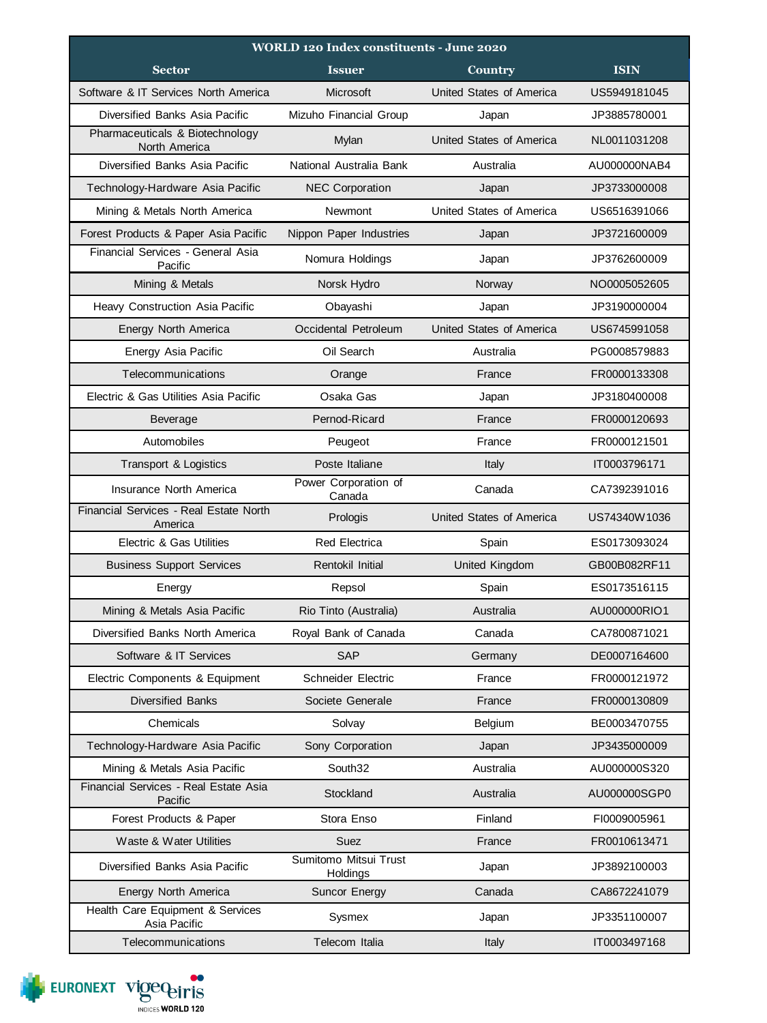| <b>WORLD 120 Index constituents - June 2020</b>   |                                   |                          |              |  |  |
|---------------------------------------------------|-----------------------------------|--------------------------|--------------|--|--|
| <b>Sector</b>                                     | <b>Issuer</b>                     | Country                  | <b>ISIN</b>  |  |  |
| Software & IT Services North America              | Microsoft                         | United States of America | US5949181045 |  |  |
| Diversified Banks Asia Pacific                    | Mizuho Financial Group            | Japan                    | JP3885780001 |  |  |
| Pharmaceuticals & Biotechnology<br>North America  | Mylan                             | United States of America | NL0011031208 |  |  |
| Diversified Banks Asia Pacific                    | National Australia Bank           | Australia                | AU000000NAB4 |  |  |
| Technology-Hardware Asia Pacific                  | <b>NEC Corporation</b>            | Japan                    | JP3733000008 |  |  |
| Mining & Metals North America                     | Newmont                           | United States of America | US6516391066 |  |  |
| Forest Products & Paper Asia Pacific              | Nippon Paper Industries           | Japan                    | JP3721600009 |  |  |
| Financial Services - General Asia<br>Pacific      | Nomura Holdings                   | Japan                    | JP3762600009 |  |  |
| Mining & Metals                                   | Norsk Hydro                       | Norway                   | NO0005052605 |  |  |
| Heavy Construction Asia Pacific                   | Obayashi                          | Japan                    | JP3190000004 |  |  |
| Energy North America                              | Occidental Petroleum              | United States of America | US6745991058 |  |  |
| Energy Asia Pacific                               | Oil Search                        | Australia                | PG0008579883 |  |  |
| Telecommunications                                | Orange                            | France                   | FR0000133308 |  |  |
| Electric & Gas Utilities Asia Pacific             | Osaka Gas                         | Japan                    | JP3180400008 |  |  |
| <b>Beverage</b>                                   | Pernod-Ricard                     | France                   | FR0000120693 |  |  |
| Automobiles                                       | Peugeot                           | France                   | FR0000121501 |  |  |
| Transport & Logistics                             | Poste Italiane                    | Italy                    | IT0003796171 |  |  |
| Insurance North America                           | Power Corporation of<br>Canada    | Canada                   | CA7392391016 |  |  |
| Financial Services - Real Estate North<br>America | Prologis                          | United States of America | US74340W1036 |  |  |
| Electric & Gas Utilities                          | <b>Red Electrica</b>              | Spain                    | ES0173093024 |  |  |
| <b>Business Support Services</b>                  | Rentokil Initial                  | <b>United Kingdom</b>    | GB00B082RF11 |  |  |
| Energy                                            | Repsol                            | Spain                    | ES0173516115 |  |  |
| Mining & Metals Asia Pacific                      | Rio Tinto (Australia)             | Australia                | AU000000RIO1 |  |  |
| Diversified Banks North America                   | Royal Bank of Canada              | Canada                   | CA7800871021 |  |  |
| Software & IT Services                            | <b>SAP</b>                        | Germany                  | DE0007164600 |  |  |
| Electric Components & Equipment                   | Schneider Electric                | France                   | FR0000121972 |  |  |
| <b>Diversified Banks</b>                          | Societe Generale                  | France                   | FR0000130809 |  |  |
| Chemicals                                         | Solvay                            | Belgium                  | BE0003470755 |  |  |
| Technology-Hardware Asia Pacific                  | Sony Corporation                  | Japan                    | JP3435000009 |  |  |
| Mining & Metals Asia Pacific                      | South32                           | Australia                | AU000000S320 |  |  |
| Financial Services - Real Estate Asia<br>Pacific  | Stockland                         | Australia                | AU000000SGP0 |  |  |
| Forest Products & Paper                           | Stora Enso                        | Finland                  | FI0009005961 |  |  |
| Waste & Water Utilities                           | Suez                              | France                   | FR0010613471 |  |  |
| Diversified Banks Asia Pacific                    | Sumitomo Mitsui Trust<br>Holdings | Japan                    | JP3892100003 |  |  |
| Energy North America                              | Suncor Energy                     | Canada                   | CA8672241079 |  |  |
| Health Care Equipment & Services<br>Asia Pacific  | Sysmex                            | Japan                    | JP3351100007 |  |  |
| Telecommunications                                | Telecom Italia                    | Italy                    | IT0003497168 |  |  |